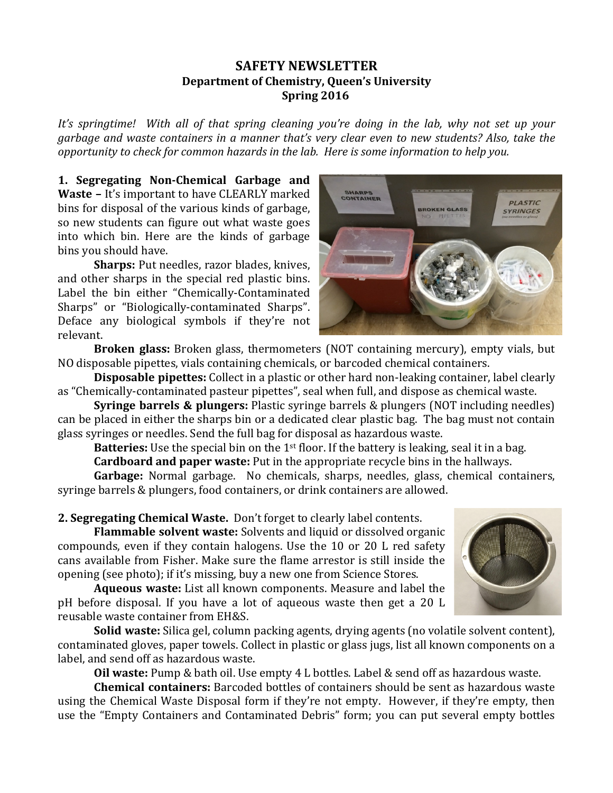## **SAFETY NEWSLETTER Department of Chemistry, Queen's University Spring 2016**

It's springtime! With all of that spring cleaning you're doing in the lab, why not set up your *garbage and waste containers in a manner that's very clear even to new students? Also, take the opportunity to check for common hazards in the lab. Here is some information to help you.* 

**1. Segregating Non-Chemical Garbage and Waste** – It's important to have CLEARLY marked bins for disposal of the various kinds of garbage, so new students can figure out what waste goes into which bin. Here are the kinds of garbage bins you should have.

**Sharps:** Put needles, razor blades, knives, and other sharps in the special red plastic bins. Label the bin either "Chemically-Contaminated Sharps" or "Biologically-contaminated Sharps". Deface any biological symbols if they're not relevant.



**Broken glass:** Broken glass, thermometers (NOT containing mercury), empty vials, but NO disposable pipettes, vials containing chemicals, or barcoded chemical containers.

**Disposable pipettes:** Collect in a plastic or other hard non-leaking container, label clearly as "Chemically-contaminated pasteur pipettes", seal when full, and dispose as chemical waste.

**Syringe barrels & plungers:** Plastic syringe barrels & plungers (NOT including needles) can be placed in either the sharps bin or a dedicated clear plastic bag. The bag must not contain glass syringes or needles. Send the full bag for disposal as hazardous waste.

**Batteries:** Use the special bin on the 1<sup>st</sup> floor. If the battery is leaking, seal it in a bag. **Cardboard and paper waste:** Put in the appropriate recycle bins in the hallways.

Garbage: Normal garbage. No chemicals, sharps, needles, glass, chemical containers. syringe barrels & plungers, food containers, or drink containers are allowed.

**2. Segregating Chemical Waste.** Don't forget to clearly label contents.

**Flammable solvent waste:** Solvents and liquid or dissolved organic compounds, even if they contain halogens. Use the  $10$  or  $20$  L red safety cans available from Fisher. Make sure the flame arrestor is still inside the opening (see photo); if it's missing, buy a new one from Science Stores.

**Aqueous waste:** List all known components. Measure and label the pH before disposal. If you have a lot of aqueous waste then get a 20 L reusable waste container from EH&S.

**Solid waste:** Silica gel, column packing agents, drying agents (no volatile solvent content), contaminated gloves, paper towels. Collect in plastic or glass jugs, list all known components on a label, and send off as hazardous waste.

**Oil waste:** Pump & bath oil. Use empty 4 L bottles. Label & send off as hazardous waste.

**Chemical containers:** Barcoded bottles of containers should be sent as hazardous waste using the Chemical Waste Disposal form if they're not empty. However, if they're empty, then use the "Empty Containers and Contaminated Debris" form; you can put several empty bottles